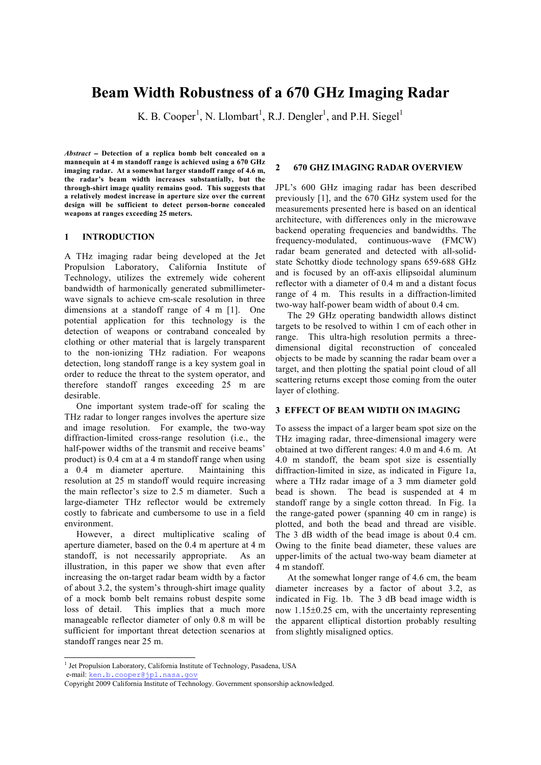# **Beam Width Robustness of a 670 GHz Imaging Radar**

K. B. Cooper<sup>[1](#page-0-0)</sup>, N. Llombart<sup>1</sup>, R.J. Dengler<sup>1</sup>, and P.H. Siegel<sup>1</sup>

*Abstract* − **Detection of a replica bomb belt concealed on a mannequin at 4 m standoff range is achieved using a 670 GHz imaging radar. At a somewhat larger standoff range of 4.6 m, the radar's beam width increases substantially, but the through-shirt image quality remains good. This suggests that a relatively modest increase in aperture size over the current design will be sufficient to detect person-borne concealed weapons at ranges exceeding 25 meters.**

# **1 INTRODUCTION**

A THz imaging radar being developed at the Jet Propulsion Laboratory, California Institute of Technology, utilizes the extremely wide coherent bandwidth of harmonically generated submillimeterwave signals to achieve cm-scale resolution in three dimensions at a standoff range of 4 m [1]. One potential application for this technology is the detection of weapons or contraband concealed by clothing or other material that is largely transparent to the non-ionizing THz radiation. For weapons detection, long standoff range is a key system goal in order to reduce the threat to the system operator, and therefore standoff ranges exceeding 25 m are desirable.

 One important system trade-off for scaling the THz radar to longer ranges involves the aperture size and image resolution. For example, the two-way diffraction-limited cross-range resolution (i.e., the half-power widths of the transmit and receive beams' product) is 0.4 cm at a 4 m standoff range when using a 0.4 m diameter aperture. Maintaining this resolution at 25 m standoff would require increasing the main reflector's size to 2.5 m diameter. Such a large-diameter THz reflector would be extremely costly to fabricate and cumbersome to use in a field environment.

 However, a direct multiplicative scaling of aperture diameter, based on the 0.4 m aperture at 4 m standoff, is not necessarily appropriate. As an illustration, in this paper we show that even after increasing the on-target radar beam width by a factor of about 3.2, the system's through-shirt image quality of a mock bomb belt remains robust despite some loss of detail. This implies that a much more manageable reflector diameter of only 0.8 m will be sufficient for important threat detection scenarios at standoff ranges near 25 m.

# **2 670 GHZ IMAGING RADAR OVERVIEW**

JPL's 600 GHz imaging radar has been described previously [1], and the 670 GHz system used for the measurements presented here is based on an identical architecture, with differences only in the microwave backend operating frequencies and bandwidths. The frequency-modulated, continuous-wave (FMCW) radar beam generated and detected with all-solidstate Schottky diode technology spans 659-688 GHz and is focused by an off-axis ellipsoidal aluminum reflector with a diameter of 0.4 m and a distant focus range of 4 m. This results in a diffraction-limited two-way half-power beam width of about 0.4 cm.

 The 29 GHz operating bandwidth allows distinct targets to be resolved to within 1 cm of each other in range. This ultra-high resolution permits a threedimensional digital reconstruction of concealed objects to be made by scanning the radar beam over a target, and then plotting the spatial point cloud of all scattering returns except those coming from the outer layer of clothing.

#### **3 EFFECT OF BEAM WIDTH ON IMAGING**

To assess the impact of a larger beam spot size on the THz imaging radar, three-dimensional imagery were obtained at two different ranges: 4.0 m and 4.6 m. At 4.0 m standoff, the beam spot size is essentially diffraction-limited in size, as indicated in Figure 1a, where a THz radar image of a 3 mm diameter gold bead is shown. The bead is suspended at 4 m standoff range by a single cotton thread. In Fig. 1a the range-gated power (spanning 40 cm in range) is plotted, and both the bead and thread are visible. The 3 dB width of the bead image is about 0.4 cm. Owing to the finite bead diameter, these values are upper-limits of the actual two-way beam diameter at 4 m standoff.

 At the somewhat longer range of 4.6 cm, the beam diameter increases by a factor of about 3.2, as indicated in Fig. 1b. The 3 dB bead image width is now 1.15±0.25 cm, with the uncertainty representing the apparent elliptical distortion probably resulting from slightly misaligned optics.

<span id="page-0-0"></span><sup>&</sup>lt;sup>1</sup> Jet Propulsion Laboratory, California Institute of Technology, Pasadena, USA e-mail: [ken.b.cooper@jpl.nasa.gov](mailto:ken.b.cooper@jpl.nasa.gov) -

Copyright 2009 California Institute of Technology. Government sponsorship acknowledged.